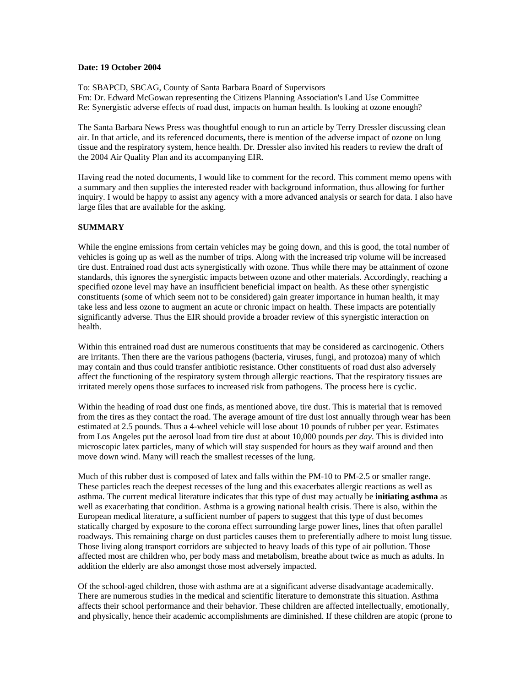## **Date: 19 October 2004**

To: SBAPCD, SBCAG, County of Santa Barbara Board of Supervisors Fm: Dr. Edward McGowan representing the Citizens Planning Association's Land Use Committee Re: Synergistic adverse effects of road dust, impacts on human health. Is looking at ozone enough?

The Santa Barbara News Press was thoughtful enough to run an article by Terry Dressler discussing clean air. In that article, and its referenced documents**,** there is mention of the adverse impact of ozone on lung tissue and the respiratory system, hence health. Dr. Dressler also invited his readers to review the draft of the 2004 Air Quality Plan and its accompanying EIR.

Having read the noted documents, I would like to comment for the record. This comment memo opens with a summary and then supplies the interested reader with background information, thus allowing for further inquiry. I would be happy to assist any agency with a more advanced analysis or search for data. I also have large files that are available for the asking.

## **SUMMARY**

While the engine emissions from certain vehicles may be going down, and this is good, the total number of vehicles is going up as well as the number of trips. Along with the increased trip volume will be increased tire dust. Entrained road dust acts synergistically with ozone. Thus while there may be attainment of ozone standards, this ignores the synergistic impacts between ozone and other materials. Accordingly, reaching a specified ozone level may have an insufficient beneficial impact on health. As these other synergistic constituents (some of which seem not to be considered) gain greater importance in human health, it may take less and less ozone to augment an acute or chronic impact on health. These impacts are potentially significantly adverse. Thus the EIR should provide a broader review of this synergistic interaction on health.

Within this entrained road dust are numerous constituents that may be considered as carcinogenic. Others are irritants. Then there are the various pathogens (bacteria, viruses, fungi, and protozoa) many of which may contain and thus could transfer antibiotic resistance. Other constituents of road dust also adversely affect the functioning of the respiratory system through allergic reactions. That the respiratory tissues are irritated merely opens those surfaces to increased risk from pathogens. The process here is cyclic.

Within the heading of road dust one finds, as mentioned above, tire dust. This is material that is removed from the tires as they contact the road. The average amount of tire dust lost annually through wear has been estimated at 2.5 pounds. Thus a 4-wheel vehicle will lose about 10 pounds of rubber per year. Estimates from Los Angeles put the aerosol load from tire dust at about 10,000 pounds *per day*. This is divided into microscopic latex particles, many of which will stay suspended for hours as they waif around and then move down wind. Many will reach the smallest recesses of the lung.

Much of this rubber dust is composed of latex and falls within the PM-10 to PM-2.5 or smaller range. These particles reach the deepest recesses of the lung and this exacerbates allergic reactions as well as asthma. The current medical literature indicates that this type of dust may actually be **initiating asthma** as well as exacerbating that condition. Asthma is a growing national health crisis. There is also, within the European medical literature, a sufficient number of papers to suggest that this type of dust becomes statically charged by exposure to the corona effect surrounding large power lines, lines that often parallel roadways. This remaining charge on dust particles causes them to preferentially adhere to moist lung tissue. Those living along transport corridors are subjected to heavy loads of this type of air pollution. Those affected most are children who, per body mass and metabolism, breathe about twice as much as adults. In addition the elderly are also amongst those most adversely impacted.

Of the school-aged children, those with asthma are at a significant adverse disadvantage academically. There are numerous studies in the medical and scientific literature to demonstrate this situation. Asthma affects their school performance and their behavior. These children are affected intellectually, emotionally, and physically, hence their academic accomplishments are diminished. If these children are atopic (prone to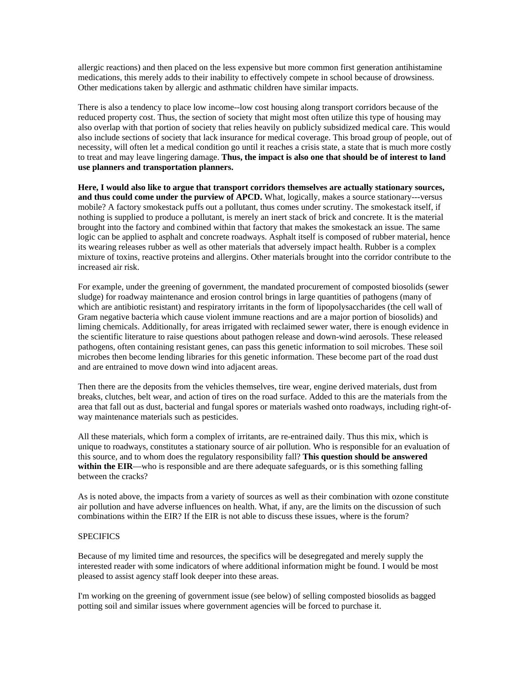allergic reactions) and then placed on the less expensive but more common first generation antihistamine medications, this merely adds to their inability to effectively compete in school because of drowsiness. Other medications taken by allergic and asthmatic children have similar impacts.

There is also a tendency to place low income--low cost housing along transport corridors because of the reduced property cost. Thus, the section of society that might most often utilize this type of housing may also overlap with that portion of society that relies heavily on publicly subsidized medical care. This would also include sections of society that lack insurance for medical coverage. This broad group of people, out of necessity, will often let a medical condition go until it reaches a crisis state, a state that is much more costly to treat and may leave lingering damage. **Thus, the impact is also one that should be of interest to land use planners and transportation planners.** 

**Here, I would also like to argue that transport corridors themselves are actually stationary sources, and thus could come under the purview of APCD.** What, logically, makes a source stationary---versus mobile? A factory smokestack puffs out a pollutant, thus comes under scrutiny. The smokestack itself, if nothing is supplied to produce a pollutant, is merely an inert stack of brick and concrete. It is the material brought into the factory and combined within that factory that makes the smokestack an issue. The same logic can be applied to asphalt and concrete roadways. Asphalt itself is composed of rubber material, hence its wearing releases rubber as well as other materials that adversely impact health. Rubber is a complex mixture of toxins, reactive proteins and allergins. Other materials brought into the corridor contribute to the increased air risk.

For example, under the greening of government, the mandated procurement of composted biosolids (sewer sludge) for roadway maintenance and erosion control brings in large quantities of pathogens (many of which are antibiotic resistant) and respiratory irritants in the form of lipopolysaccharides (the cell wall of Gram negative bacteria which cause violent immune reactions and are a major portion of biosolids) and liming chemicals. Additionally, for areas irrigated with reclaimed sewer water, there is enough evidence in the scientific literature to raise questions about pathogen release and down-wind aerosols. These released pathogens, often containing resistant genes, can pass this genetic information to soil microbes. These soil microbes then become lending libraries for this genetic information. These become part of the road dust and are entrained to move down wind into adjacent areas.

Then there are the deposits from the vehicles themselves, tire wear, engine derived materials, dust from breaks, clutches, belt wear, and action of tires on the road surface. Added to this are the materials from the area that fall out as dust, bacterial and fungal spores or materials washed onto roadways, including right-ofway maintenance materials such as pesticides.

All these materials, which form a complex of irritants, are re-entrained daily. Thus this mix, which is unique to roadways, constitutes a stationary source of air pollution. Who is responsible for an evaluation of this source, and to whom does the regulatory responsibility fall? **This question should be answered**  within the EIR—who is responsible and are there adequate safeguards, or is this something falling between the cracks?

As is noted above, the impacts from a variety of sources as well as their combination with ozone constitute air pollution and have adverse influences on health. What, if any, are the limits on the discussion of such combinations within the EIR? If the EIR is not able to discuss these issues, where is the forum?

## **SPECIFICS**

Because of my limited time and resources, the specifics will be desegregated and merely supply the interested reader with some indicators of where additional information might be found. I would be most pleased to assist agency staff look deeper into these areas.

I'm working on the greening of government issue (see below) of selling composted biosolids as bagged potting soil and similar issues where government agencies will be forced to purchase it.